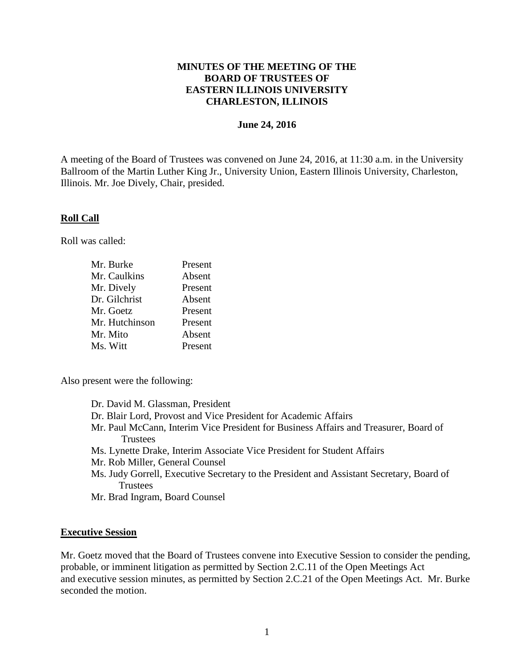# **MINUTES OF THE MEETING OF THE BOARD OF TRUSTEES OF EASTERN ILLINOIS UNIVERSITY CHARLESTON, ILLINOIS**

### **June 24, 2016**

A meeting of the Board of Trustees was convened on June 24, 2016, at 11:30 a.m. in the University Ballroom of the Martin Luther King Jr., University Union, Eastern Illinois University, Charleston, Illinois. Mr. Joe Dively, Chair, presided.

## **Roll Call**

Roll was called:

| Mr. Burke      | Present |
|----------------|---------|
| Mr. Caulkins   | Absent  |
| Mr. Dively     | Present |
| Dr. Gilchrist  | Absent  |
| Mr. Goetz      | Present |
| Mr. Hutchinson | Present |
| Mr. Mito       | Absent  |
| Ms. Witt       | Present |

Also present were the following:

| Dr. David M. Glassman, President                                                         |
|------------------------------------------------------------------------------------------|
| Dr. Blair Lord, Provost and Vice President for Academic Affairs                          |
| Mr. Paul McCann, Interim Vice President for Business Affairs and Treasurer, Board of     |
| <b>Trustees</b>                                                                          |
| Ms. Lynette Drake, Interim Associate Vice President for Student Affairs                  |
| Mr. Rob Miller, General Counsel                                                          |
| Ms. Judy Gorrell, Executive Secretary to the President and Assistant Secretary, Board of |
| <b>Trustees</b>                                                                          |

Mr. Brad Ingram, Board Counsel

#### **Executive Session**

Mr. Goetz moved that the Board of Trustees convene into Executive Session to consider the pending, probable, or imminent litigation as permitted by Section 2.C.11 of the Open Meetings Act and executive session minutes, as permitted by Section 2.C.21 of the Open Meetings Act. Mr. Burke seconded the motion.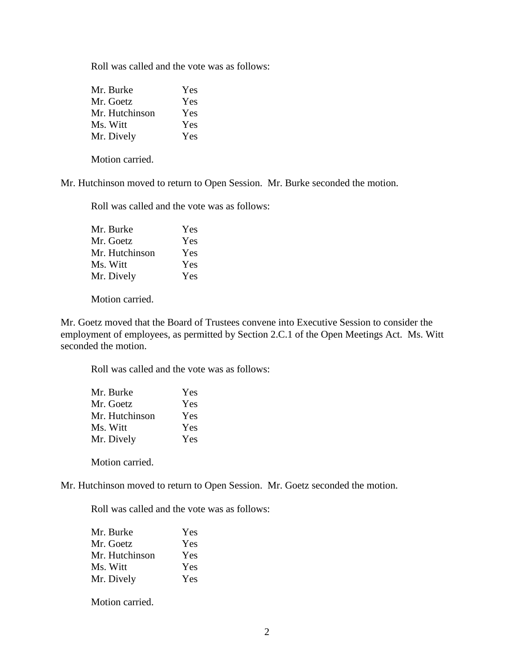Roll was called and the vote was as follows:

| Mr. Burke      | Yes |
|----------------|-----|
| Mr. Goetz      | Yes |
| Mr. Hutchinson | Yes |
| Ms. Witt       | Yes |
| Mr. Dively     | Yes |

Motion carried.

Mr. Hutchinson moved to return to Open Session. Mr. Burke seconded the motion.

Roll was called and the vote was as follows:

| Yes |
|-----|
| Yes |
| Yes |
| Yes |
| Yes |
|     |

Motion carried.

Mr. Goetz moved that the Board of Trustees convene into Executive Session to consider the employment of employees, as permitted by Section 2.C.1 of the Open Meetings Act. Ms. Witt seconded the motion.

Roll was called and the vote was as follows:

| Mr. Burke      | Yes |
|----------------|-----|
| Mr. Goetz      | Yes |
| Mr. Hutchinson | Yes |
| Ms. Witt       | Yes |
| Mr. Dively     | Yes |
|                |     |

Motion carried.

Mr. Hutchinson moved to return to Open Session. Mr. Goetz seconded the motion.

Roll was called and the vote was as follows:

| Mr. Burke      | Yes |
|----------------|-----|
| Mr. Goetz      | Yes |
| Mr. Hutchinson | Yes |
| Ms. Witt       | Yes |
| Mr. Dively     | Yes |

Motion carried.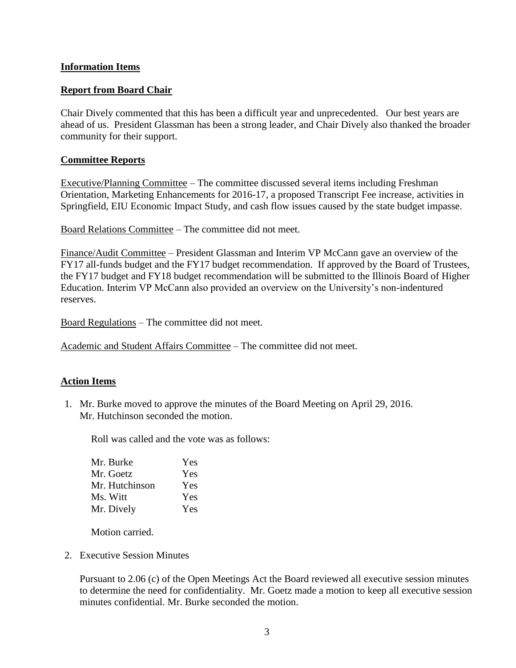# **Information Items**

# **Report from Board Chair**

Chair Dively commented that this has been a difficult year and unprecedented. Our best years are ahead of us. President Glassman has been a strong leader, and Chair Dively also thanked the broader community for their support.

## **Committee Reports**

Executive/Planning Committee – The committee discussed several items including Freshman Orientation, Marketing Enhancements for 2016-17, a proposed Transcript Fee increase, activities in Springfield, EIU Economic Impact Study, and cash flow issues caused by the state budget impasse.

Board Relations Committee – The committee did not meet.

Finance/Audit Committee – President Glassman and Interim VP McCann gave an overview of the FY17 all-funds budget and the FY17 budget recommendation. If approved by the Board of Trustees, the FY17 budget and FY18 budget recommendation will be submitted to the Illinois Board of Higher Education. Interim VP McCann also provided an overview on the University's non-indentured reserves.

Board Regulations – The committee did not meet.

Academic and Student Affairs Committee – The committee did not meet.

## **Action Items**

1. Mr. Burke moved to approve the minutes of the Board Meeting on April 29, 2016. Mr. Hutchinson seconded the motion.

Roll was called and the vote was as follows:

| Mr. Burke      | Yes |
|----------------|-----|
| Mr. Goetz      | Yes |
| Mr. Hutchinson | Yes |
| Ms. Witt       | Yes |
| Mr. Dively     | Yes |

Motion carried.

2. Executive Session Minutes

Pursuant to 2.06 (c) of the Open Meetings Act the Board reviewed all executive session minutes to determine the need for confidentiality. Mr. Goetz made a motion to keep all executive session minutes confidential. Mr. Burke seconded the motion.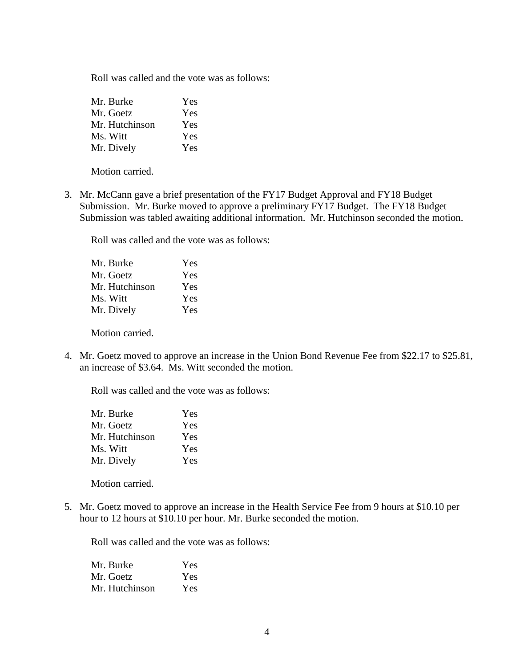Roll was called and the vote was as follows:

| Mr. Burke      | Yes |
|----------------|-----|
| Mr. Goetz      | Yes |
| Mr. Hutchinson | Yes |
| Ms. Witt       | Yes |
| Mr. Dively     | Yes |

Motion carried.

3. Mr. McCann gave a brief presentation of the FY17 Budget Approval and FY18 Budget Submission. Mr. Burke moved to approve a preliminary FY17 Budget. The FY18 Budget Submission was tabled awaiting additional information. Mr. Hutchinson seconded the motion.

Roll was called and the vote was as follows:

| Mr. Burke      | Yes |
|----------------|-----|
| Mr. Goetz      | Yes |
| Mr. Hutchinson | Yes |
| Ms. Witt       | Yes |
| Mr. Dively     | Yes |

Motion carried.

4. Mr. Goetz moved to approve an increase in the Union Bond Revenue Fee from \$22.17 to \$25.81, an increase of \$3.64. Ms. Witt seconded the motion.

Roll was called and the vote was as follows:

| Mr. Burke      | Yes |
|----------------|-----|
| Mr. Goetz      | Yes |
| Mr. Hutchinson | Yes |
| Ms. Witt       | Yes |
| Mr. Dively     | Yes |

Motion carried.

5. Mr. Goetz moved to approve an increase in the Health Service Fee from 9 hours at \$10.10 per hour to 12 hours at \$10.10 per hour. Mr. Burke seconded the motion.

Roll was called and the vote was as follows:

| Mr. Burke      | Yes        |
|----------------|------------|
| Mr. Goetz      | Yes        |
| Mr. Hutchinson | <b>Yes</b> |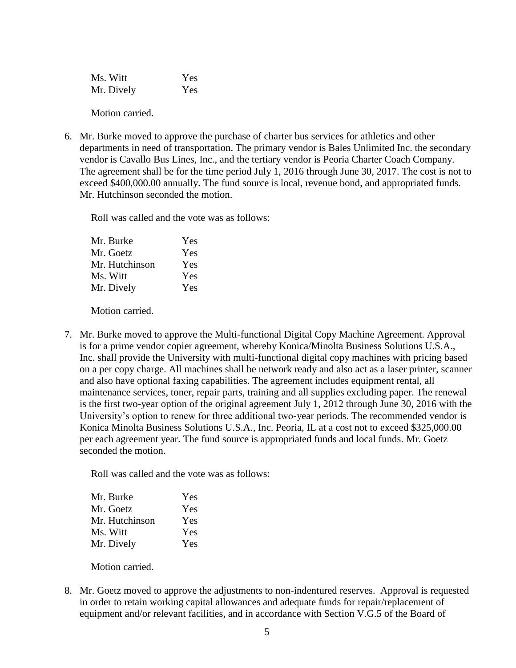Ms. Witt Yes Mr. Dively Yes

Motion carried.

6. Mr. Burke moved to approve the purchase of charter bus services for athletics and other departments in need of transportation. The primary vendor is Bales Unlimited Inc. the secondary vendor is Cavallo Bus Lines, Inc., and the tertiary vendor is Peoria Charter Coach Company. The agreement shall be for the time period July 1, 2016 through June 30, 2017. The cost is not to exceed \$400,000.00 annually. The fund source is local, revenue bond, and appropriated funds. Mr. Hutchinson seconded the motion.

Roll was called and the vote was as follows:

| Yes |
|-----|
| Yes |
| Yes |
| Yes |
| Yes |
|     |

Motion carried.

7. Mr. Burke moved to approve the Multi-functional Digital Copy Machine Agreement. Approval is for a prime vendor copier agreement, whereby Konica/Minolta Business Solutions U.S.A., Inc. shall provide the University with multi-functional digital copy machines with pricing based on a per copy charge. All machines shall be network ready and also act as a laser printer, scanner and also have optional faxing capabilities. The agreement includes equipment rental, all maintenance services, toner, repair parts, training and all supplies excluding paper. The renewal is the first two-year option of the original agreement July 1, 2012 through June 30, 2016 with the University's option to renew for three additional two-year periods. The recommended vendor is Konica Minolta Business Solutions U.S.A., Inc. Peoria, IL at a cost not to exceed \$325,000.00 per each agreement year. The fund source is appropriated funds and local funds. Mr. Goetz seconded the motion.

Roll was called and the vote was as follows:

| Mr. Burke      | Yes |
|----------------|-----|
| Mr. Goetz      | Yes |
| Mr. Hutchinson | Yes |
| Ms. Witt       | Yes |
| Mr. Dively     | Yes |

Motion carried.

8. Mr. Goetz moved to approve the adjustments to non-indentured reserves. Approval is requested in order to retain working capital allowances and adequate funds for repair/replacement of equipment and/or relevant facilities, and in accordance with Section V.G.5 of the Board of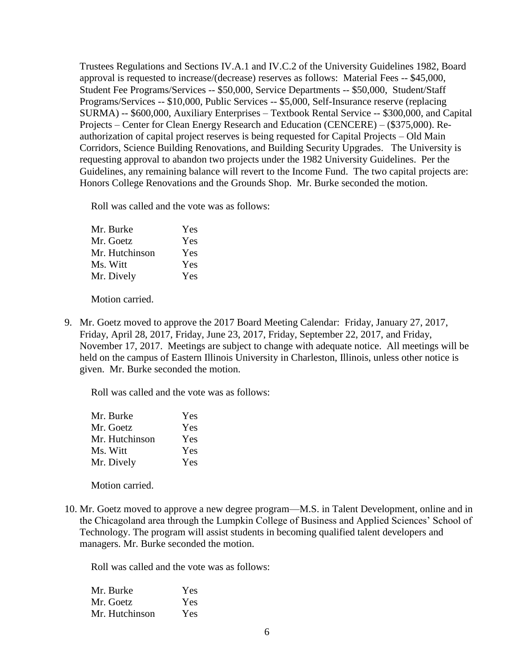Trustees Regulations and Sections IV.A.1 and IV.C.2 of the University Guidelines 1982, Board approval is requested to increase/(decrease) reserves as follows: Material Fees -- \$45,000, Student Fee Programs/Services -- \$50,000, Service Departments -- \$50,000, Student/Staff Programs/Services -- \$10,000, Public Services -- \$5,000, Self-Insurance reserve (replacing SURMA) -- \$600,000, Auxiliary Enterprises – Textbook Rental Service -- \$300,000, and Capital Projects – Center for Clean Energy Research and Education (CENCERE) – (\$375,000). Reauthorization of capital project reserves is being requested for Capital Projects – Old Main Corridors, Science Building Renovations, and Building Security Upgrades. The University is requesting approval to abandon two projects under the 1982 University Guidelines. Per the Guidelines, any remaining balance will revert to the Income Fund. The two capital projects are: Honors College Renovations and the Grounds Shop. Mr. Burke seconded the motion.

Roll was called and the vote was as follows:

| Mr. Burke      | Yes |
|----------------|-----|
| Mr. Goetz      | Yes |
| Mr. Hutchinson | Yes |
| Ms. Witt       | Yes |
| Mr. Dively     | Yes |
|                |     |

Motion carried.

9. Mr. Goetz moved to approve the 2017 Board Meeting Calendar: Friday, January 27, 2017, Friday, April 28, 2017, Friday, June 23, 2017, Friday, September 22, 2017, and Friday, November 17, 2017. Meetings are subject to change with adequate notice. All meetings will be held on the campus of Eastern Illinois University in Charleston, Illinois, unless other notice is given. Mr. Burke seconded the motion.

Roll was called and the vote was as follows:

| Mr. Burke      | Yes |
|----------------|-----|
| Mr. Goetz      | Yes |
| Mr. Hutchinson | Yes |
| Ms. Witt       | Yes |
| Mr. Dively     | Yes |

Motion carried.

10. Mr. Goetz moved to approve a new degree program—M.S. in Talent Development, online and in the Chicagoland area through the Lumpkin College of Business and Applied Sciences' School of Technology. The program will assist students in becoming qualified talent developers and managers. Mr. Burke seconded the motion.

Roll was called and the vote was as follows:

| Mr. Burke      | Yes |
|----------------|-----|
| Mr. Goetz      | Yes |
| Mr. Hutchinson | Yes |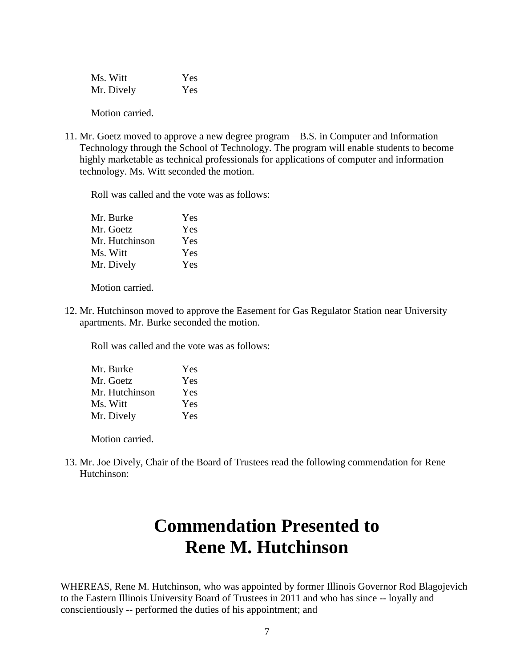Ms. Witt Yes Mr. Dively Yes

Motion carried.

11. Mr. Goetz moved to approve a new degree program—B.S. in Computer and Information Technology through the School of Technology. The program will enable students to become highly marketable as technical professionals for applications of computer and information technology. Ms. Witt seconded the motion.

Roll was called and the vote was as follows:

| Mr. Burke      | Yes |
|----------------|-----|
| Mr. Goetz      | Yes |
| Mr. Hutchinson | Yes |
| Ms. Witt       | Yes |
| Mr. Dively     | Yes |

Motion carried.

12. Mr. Hutchinson moved to approve the Easement for Gas Regulator Station near University apartments. Mr. Burke seconded the motion.

Roll was called and the vote was as follows:

| Mr. Burke      | Yes |
|----------------|-----|
| Mr. Goetz      | Yes |
| Mr. Hutchinson | Yes |
| Ms. Witt       | Yes |
| Mr. Dively     | Yes |

Motion carried.

13. Mr. Joe Dively, Chair of the Board of Trustees read the following commendation for Rene Hutchinson:

# **Commendation Presented to Rene M. Hutchinson**

WHEREAS, Rene M. Hutchinson, who was appointed by former Illinois Governor Rod Blagojevich to the Eastern Illinois University Board of Trustees in 2011 and who has since -- loyally and conscientiously -- performed the duties of his appointment; and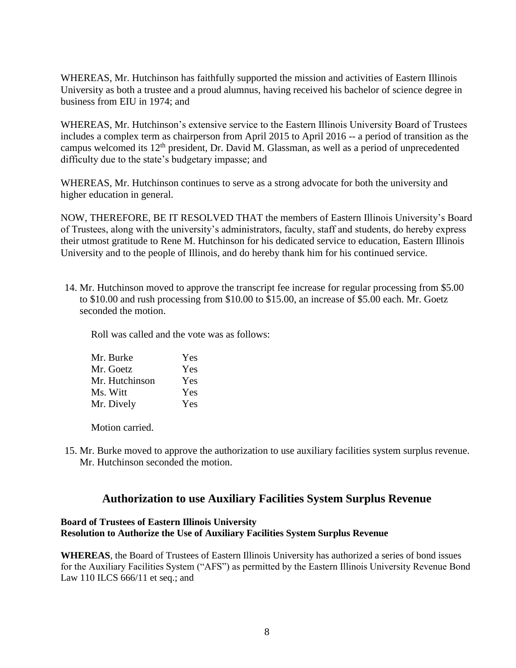WHEREAS, Mr. Hutchinson has faithfully supported the mission and activities of Eastern Illinois University as both a trustee and a proud alumnus, having received his bachelor of science degree in business from EIU in 1974; and

WHEREAS, Mr. Hutchinson's extensive service to the Eastern Illinois University Board of Trustees includes a complex term as chairperson from April 2015 to April 2016 -- a period of transition as the campus welcomed its 12th president, Dr. David M. Glassman, as well as a period of unprecedented difficulty due to the state's budgetary impasse; and

WHEREAS, Mr. Hutchinson continues to serve as a strong advocate for both the university and higher education in general.

NOW, THEREFORE, BE IT RESOLVED THAT the members of Eastern Illinois University's Board of Trustees, along with the university's administrators, faculty, staff and students, do hereby express their utmost gratitude to Rene M. Hutchinson for his dedicated service to education, Eastern Illinois University and to the people of Illinois, and do hereby thank him for his continued service.

14. Mr. Hutchinson moved to approve the transcript fee increase for regular processing from \$5.00 to \$10.00 and rush processing from \$10.00 to \$15.00, an increase of \$5.00 each. Mr. Goetz seconded the motion.

Roll was called and the vote was as follows:

| Mr. Burke      | Yes |
|----------------|-----|
| Mr. Goetz      | Yes |
| Mr. Hutchinson | Yes |
| Ms. Witt       | Yes |
| Mr. Dively     | Yes |

Motion carried.

15. Mr. Burke moved to approve the authorization to use auxiliary facilities system surplus revenue. Mr. Hutchinson seconded the motion.

# **Authorization to use Auxiliary Facilities System Surplus Revenue**

## **Board of Trustees of Eastern Illinois University Resolution to Authorize the Use of Auxiliary Facilities System Surplus Revenue**

**WHEREAS**, the Board of Trustees of Eastern Illinois University has authorized a series of bond issues for the Auxiliary Facilities System ("AFS") as permitted by the Eastern Illinois University Revenue Bond Law 110 ILCS 666/11 et seq.; and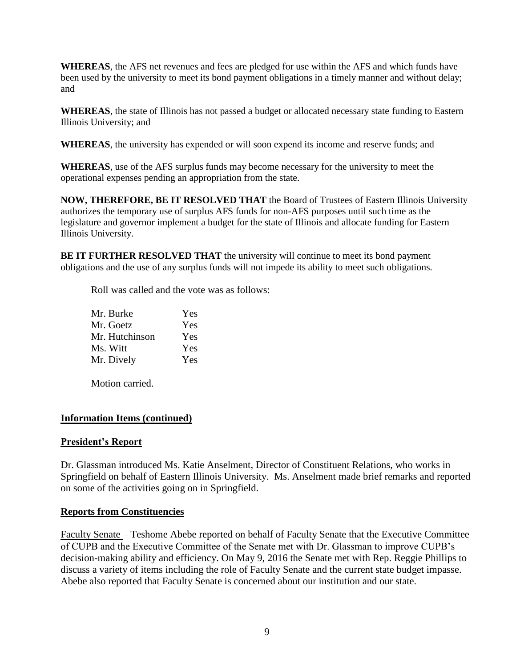**WHEREAS**, the AFS net revenues and fees are pledged for use within the AFS and which funds have been used by the university to meet its bond payment obligations in a timely manner and without delay; and

**WHEREAS**, the state of Illinois has not passed a budget or allocated necessary state funding to Eastern Illinois University; and

**WHEREAS**, the university has expended or will soon expend its income and reserve funds; and

**WHEREAS**, use of the AFS surplus funds may become necessary for the university to meet the operational expenses pending an appropriation from the state.

**NOW, THEREFORE, BE IT RESOLVED THAT** the Board of Trustees of Eastern Illinois University authorizes the temporary use of surplus AFS funds for non-AFS purposes until such time as the legislature and governor implement a budget for the state of Illinois and allocate funding for Eastern Illinois University.

**BE IT FURTHER RESOLVED THAT** the university will continue to meet its bond payment obligations and the use of any surplus funds will not impede its ability to meet such obligations.

Roll was called and the vote was as follows:

| Mr. Burke      | Yes |
|----------------|-----|
| Mr. Goetz      | Yes |
| Mr. Hutchinson | Yes |
| Ms. Witt       | Yes |
| Mr. Dively     | Yes |

Motion carried.

# **Information Items (continued)**

## **President's Report**

Dr. Glassman introduced Ms. Katie Anselment, Director of Constituent Relations, who works in Springfield on behalf of Eastern Illinois University. Ms. Anselment made brief remarks and reported on some of the activities going on in Springfield.

## **Reports from Constituencies**

Faculty Senate – Teshome Abebe reported on behalf of Faculty Senate that the Executive Committee of CUPB and the Executive Committee of the Senate met with Dr. Glassman to improve CUPB's decision-making ability and efficiency. On May 9, 2016 the Senate met with Rep. Reggie Phillips to discuss a variety of items including the role of Faculty Senate and the current state budget impasse. Abebe also reported that Faculty Senate is concerned about our institution and our state.